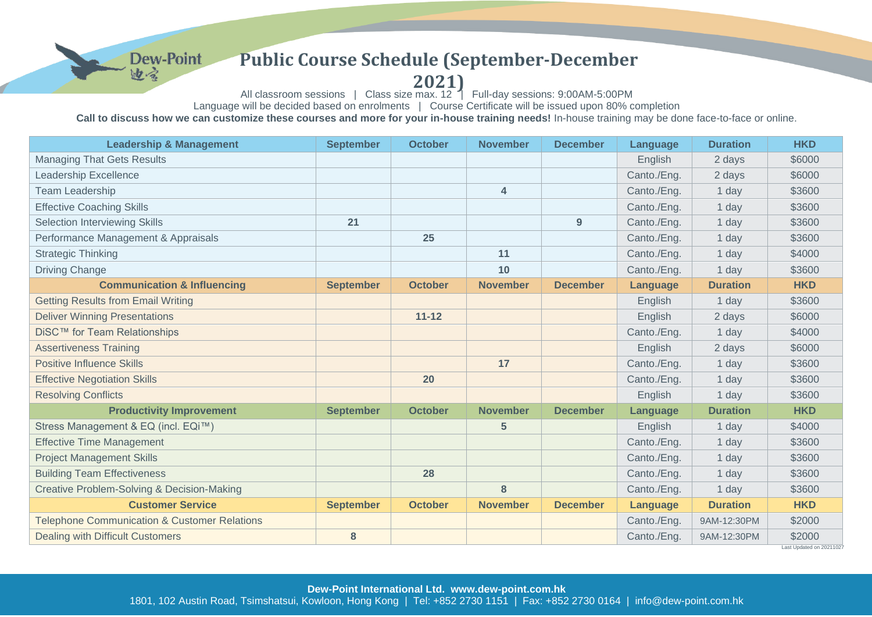## **Public Course Schedule (September-December**

**Dew-Point** 

曲合

## **2021)**

All classroom sessions | Class size max. 12 | Full-day sessions: 9:00AM-5:00PM

Language will be decided based on enrolments | Course Certificate will be issued upon 80% completion

Call to discuss how we can customize these courses and more for your in-house training needs! In-house training may be done face-to-face or online.

| <b>Leadership &amp; Management</b>                      | <b>September</b> | <b>October</b> | <b>November</b> | <b>December</b> | Language        | <b>Duration</b> | <b>HKD</b>                        |
|---------------------------------------------------------|------------------|----------------|-----------------|-----------------|-----------------|-----------------|-----------------------------------|
| <b>Managing That Gets Results</b>                       |                  |                |                 |                 | English         | 2 days          | \$6000                            |
| <b>Leadership Excellence</b>                            |                  |                |                 |                 | Canto./Eng.     | 2 days          | \$6000                            |
| <b>Team Leadership</b>                                  |                  |                | $\overline{4}$  |                 | Canto./Eng.     | 1 day           | \$3600                            |
| <b>Effective Coaching Skills</b>                        |                  |                |                 |                 | Canto./Eng.     | 1 day           | \$3600                            |
| Selection Interviewing Skills                           | 21               |                |                 | 9               | Canto./Eng.     | 1 day           | \$3600                            |
| Performance Management & Appraisals                     |                  | 25             |                 |                 | Canto./Eng.     | 1 day           | \$3600                            |
| <b>Strategic Thinking</b>                               |                  |                | 11              |                 | Canto./Eng.     | 1 day           | \$4000                            |
| <b>Driving Change</b>                                   |                  |                | 10              |                 | Canto./Eng.     | 1 day           | \$3600                            |
| <b>Communication &amp; Influencing</b>                  | <b>September</b> | <b>October</b> | <b>November</b> | <b>December</b> | Language        | <b>Duration</b> | <b>HKD</b>                        |
| <b>Getting Results from Email Writing</b>               |                  |                |                 |                 | English         | 1 day           | \$3600                            |
| <b>Deliver Winning Presentations</b>                    |                  | $11 - 12$      |                 |                 | English         | 2 days          | \$6000                            |
| DiSC™ for Team Relationships                            |                  |                |                 |                 | Canto./Eng.     | 1 day           | \$4000                            |
| <b>Assertiveness Training</b>                           |                  |                |                 |                 | English         | 2 days          | \$6000                            |
| <b>Positive Influence Skills</b>                        |                  |                | 17              |                 | Canto./Eng.     | 1 day           | \$3600                            |
| <b>Effective Negotiation Skills</b>                     |                  | 20             |                 |                 | Canto./Eng.     | 1 day           | \$3600                            |
| <b>Resolving Conflicts</b>                              |                  |                |                 |                 | English         | 1 day           | \$3600                            |
| <b>Productivity Improvement</b>                         | <b>September</b> | <b>October</b> | <b>November</b> | <b>December</b> | Language        | <b>Duration</b> | <b>HKD</b>                        |
| Stress Management & EQ (incl. EQi™)                     |                  |                | 5               |                 | English         | 1 day           | \$4000                            |
| <b>Effective Time Management</b>                        |                  |                |                 |                 | Canto./Eng.     | 1 day           | \$3600                            |
| <b>Project Management Skills</b>                        |                  |                |                 |                 | Canto./Eng.     | 1 day           | \$3600                            |
| <b>Building Team Effectiveness</b>                      |                  | 28             |                 |                 | Canto./Eng.     | 1 day           | \$3600                            |
| Creative Problem-Solving & Decision-Making              |                  |                | 8               |                 | Canto./Eng.     | 1 day           | \$3600                            |
| <b>Customer Service</b>                                 | <b>September</b> | <b>October</b> | <b>November</b> | <b>December</b> | <b>Language</b> | <b>Duration</b> | <b>HKD</b>                        |
| <b>Telephone Communication &amp; Customer Relations</b> |                  |                |                 |                 | Canto./Eng.     | 9AM-12:30PM     | \$2000                            |
| <b>Dealing with Difficult Customers</b>                 | 8                |                |                 |                 | Canto./Eng.     | 9AM-12:30PM     | \$2000<br>Last Undated on 2021102 |